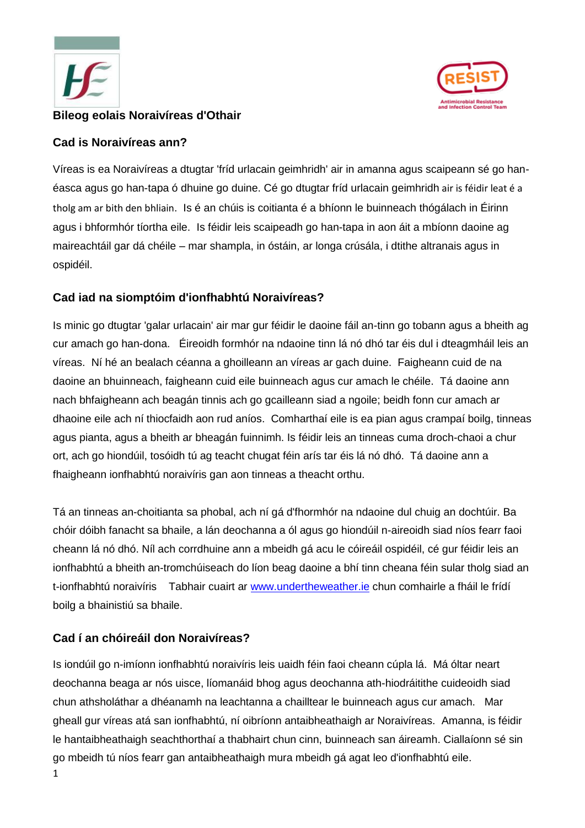



## **Bileog eolais Noraivíreas d'Othair**

### **Cad is Noraivíreas ann?**

Víreas is ea Noraivíreas a dtugtar 'fríd urlacain geimhridh' air in amanna agus scaipeann sé go hanéasca agus go han-tapa ó dhuine go duine. Cé go dtugtar fríd urlacain geimhridh air is féidir leat é a tholg am ar bith den bhliain. Is é an chúis is coitianta é a bhíonn le buinneach thógálach in Éirinn agus i bhformhór tíortha eile. Is féidir leis scaipeadh go han-tapa in aon áit a mbíonn daoine ag maireachtáil gar dá chéile – mar shampla, in óstáin, ar longa crúsála, i dtithe altranais agus in ospidéil.

# **Cad iad na siomptóim d'ionfhabhtú Noraivíreas?**

Is minic go dtugtar 'galar urlacain' air mar gur féidir le daoine fáil an-tinn go tobann agus a bheith ag cur amach go han-dona. Éireoidh formhór na ndaoine tinn lá nó dhó tar éis dul i dteagmháil leis an víreas. Ní hé an bealach céanna a ghoilleann an víreas ar gach duine. Faigheann cuid de na daoine an bhuinneach, faigheann cuid eile buinneach agus cur amach le chéile. Tá daoine ann nach bhfaigheann ach beagán tinnis ach go gcailleann siad a ngoile; beidh fonn cur amach ar dhaoine eile ach ní thiocfaidh aon rud aníos. Comharthaí eile is ea pian agus crampaí boilg, tinneas agus pianta, agus a bheith ar bheagán fuinnimh. Is féidir leis an tinneas cuma droch-chaoi a chur ort, ach go hiondúil, tosóidh tú ag teacht chugat féin arís tar éis lá nó dhó. Tá daoine ann a fhaigheann ionfhabhtú noraivíris gan aon tinneas a theacht orthu.

Tá an tinneas an-choitianta sa phobal, ach ní gá d'fhormhór na ndaoine dul chuig an dochtúir. Ba chóir dóibh fanacht sa bhaile, a lán deochanna a ól agus go hiondúil n-aireoidh siad níos fearr faoi cheann lá nó dhó. Níl ach corrdhuine ann a mbeidh gá acu le cóireáil ospidéil, cé gur féidir leis an ionfhabhtú a bheith an-tromchúiseach do líon beag daoine a bhí tinn cheana féin sular tholg siad an t-ionfhabhtú noraivíris Tabhair cuairt ar [www.undertheweather.ie](http://www.undertheweather.ie/) chun comhairle a fháil le frídí boilg a bhainistiú sa bhaile.

# **Cad í an chóireáil don Noraivíreas?**

Is iondúil go n-imíonn ionfhabhtú noraivíris leis uaidh féin faoi cheann cúpla lá. Má óltar neart deochanna beaga ar nós uisce, líomanáid bhog agus deochanna ath-hiodráitithe cuideoidh siad chun athsholáthar a dhéanamh na leachtanna a chailltear le buinneach agus cur amach. Mar gheall gur víreas atá san ionfhabhtú, ní oibríonn antaibheathaigh ar Noraivíreas. Amanna, is féidir le hantaibheathaigh seachthorthaí a thabhairt chun cinn, buinneach san áireamh. Ciallaíonn sé sin go mbeidh tú níos fearr gan antaibheathaigh mura mbeidh gá agat leo d'ionfhabhtú eile.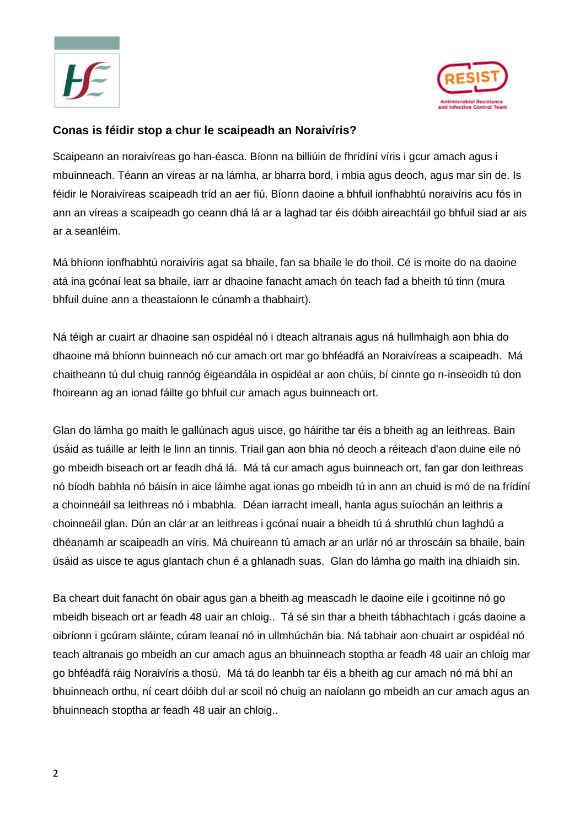



#### **Conas is féidir stop a chur le scaipeadh an Noraivíris?**

Scaipeann an noraivíreas go han-éasca. Bíonn na billiúin de fhrídíní víris i gcur amach agus i mbuinneach. Téann an víreas ar na lámha, ar bharra bord, i mbia agus deoch, agus mar sin de. Is féidir le Noraivíreas scaipeadh tríd an aer fiú. Bíonn daoine a bhfuil ionfhabhtú noraivíris acu fós in ann an víreas a scaipeadh go ceann dhá lá ar a laghad tar éis dóibh aireachtáil go bhfuil siad ar ais ar a seanléim.

Má bhíonn ionfhabhtú noraivíris agat sa bhaile, fan sa bhaile le do thoil. Cé is moite do na daoine atá ina gcónaí leat sa bhaile, iarr ar dhaoine fanacht amach ón teach fad a bheith tú tinn (mura bhfuil duine ann a theastaíonn le cúnamh a thabhairt).

Ná téigh ar cuairt ar dhaoine san ospidéal nó i dteach altranais agus ná hullmhaigh aon bhia do dhaoine má bhíonn buinneach nó cur amach ort mar go bhféadfá an Noraivíreas a scaipeadh. Má chaitheann tú dul chuig rannóg éigeandála in ospidéal ar aon chúis, bí cinnte go n-inseoidh tú don fhoireann ag an ionad fáilte go bhfuil cur amach agus buinneach ort.

Glan do lámha go maith le gallúnach agus uisce, go háirithe tar éis a bheith ag an leithreas. Bain úsáid as tuáille ar leith le linn an tinnis. Triail gan aon bhia nó deoch a réiteach d'aon duine eile nó go mbeidh biseach ort ar feadh dhá lá. Má tá cur amach agus buinneach ort, fan gar don leithreas nó bíodh babhla nó báisín in aice láimhe agat ionas go mbeidh tú in ann an chuid is mó de na frídíní a choinneáil sa leithreas nó i mbabhla. Déan iarracht imeall, hanla agus suíochán an leithris a choinneáil glan. Dún an clár ar an leithreas i gcónaí nuair a bheidh tú á shruthlú chun laghdú a dhéanamh ar scaipeadh an víris. Má chuireann tú amach ar an urlár nó ar throscáin sa bhaile, bain úsáid as uisce te agus glantach chun é a ghlanadh suas. Glan do lámha go maith ina dhiaidh sin.

Ba cheart duit fanacht ón obair agus gan a bheith ag meascadh le daoine eile i gcoitinne nó go mbeidh biseach ort ar feadh 48 uair an chloig.. Tá sé sin thar a bheith tábhachtach i gcás daoine a oibríonn i gcúram sláinte, cúram leanaí nó in ullmhúchán bia. Ná tabhair aon chuairt ar ospidéal nó teach altranais go mbeidh an cur amach agus an bhuinneach stoptha ar feadh 48 uair an chloig mar go bhféadfá ráig Noraivíris a thosú. Má tá do leanbh tar éis a bheith ag cur amach nó má bhí an bhuinneach orthu, ní ceart dóibh dul ar scoil nó chuig an naíolann go mbeidh an cur amach agus an bhuinneach stoptha ar feadh 48 uair an chloig..